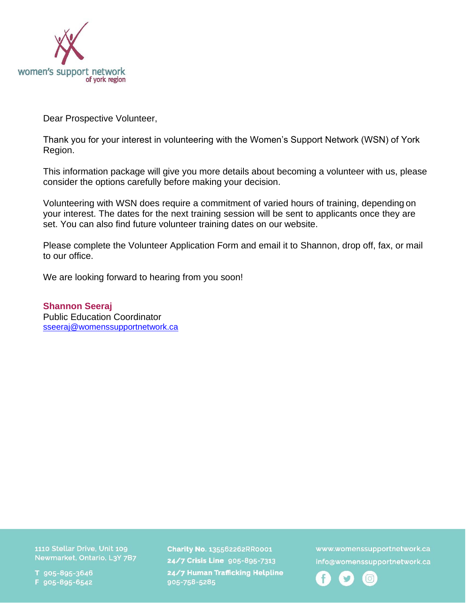

Dear Prospective Volunteer,

Thank you for your interest in volunteering with the Women's Support Network (WSN) of York Region.

This information package will give you more details about becoming a volunteer with us, please consider the options carefully before making your decision.

Volunteering with WSN does require a commitment of varied hours of training, depending on your interest. The dates for the next training session will be sent to applicants once they are set. You can also find future volunteer training dates on our website.

Please complete the Volunteer Application Form and email it to Shannon, drop off, fax, or mail to our office.

We are looking forward to hearing from you soon!

**Shannon Seeraj** Public Education Coordinator [sseeraj@womenssupportnetwork.ca](mailto:sseeraj@womenssupportnetwork.ca)

1110 Stellar Drive, Unit 109 Newmarket, Ontario, L3Y 7B7

T 905-895-3646 F 905-895-6542

Charity No. 135562262RR0001 24/7 Crisis Line 905-895-7313 24/7 Human Trafficking Helpline 905-758-5285

www.womenssupportnetwork.ca info@womenssupportnetwork.ca

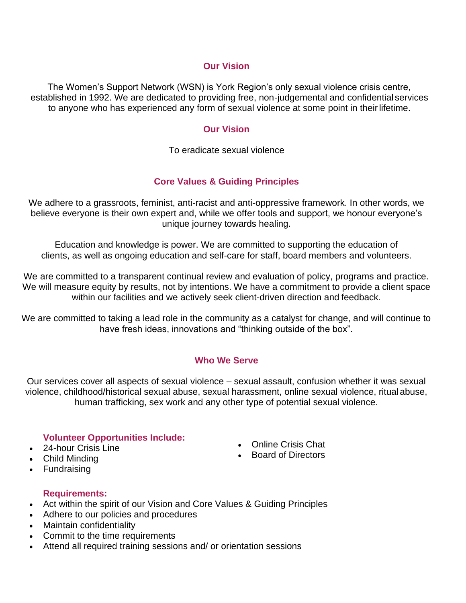## **Our Vision**

The Women's Support Network (WSN) is York Region's only sexual violence crisis centre, established in 1992. We are dedicated to providing free, non-judgemental and confidential services to anyone who has experienced any form of sexual violence at some point in theirlifetime.

#### **Our Vision**

To eradicate sexual violence

## **Core Values & Guiding Principles**

We adhere to a grassroots, feminist, anti-racist and anti-oppressive framework. In other words, we believe everyone is their own expert and, while we offer tools and support, we honour everyone's unique journey towards healing.

Education and knowledge is power. We are committed to supporting the education of clients, as well as ongoing education and self-care for staff, board members and volunteers.

We are committed to a transparent continual review and evaluation of policy, programs and practice. We will measure equity by results, not by intentions. We have a commitment to provide a client space within our facilities and we actively seek client-driven direction and feedback.

We are committed to taking a lead role in the community as a catalyst for change, and will continue to have fresh ideas, innovations and "thinking outside of the box".

## **Who We Serve**

Our services cover all aspects of sexual violence – sexual assault, confusion whether it was sexual violence, childhood/historical sexual abuse, sexual harassment, online sexual violence, ritual abuse, human trafficking, sex work and any other type of potential sexual violence.

## **Volunteer Opportunities Include:**

## • 24-hour Crisis Line

• Child Minding

- Online Crisis Chat
- Board of Directors

• Fundraising

## **Requirements:**

- Act within the spirit of our Vision and Core Values & Guiding Principles
- Adhere to our policies and procedures
- Maintain confidentiality
- Commit to the time requirements
- Attend all required training sessions and/ or orientation sessions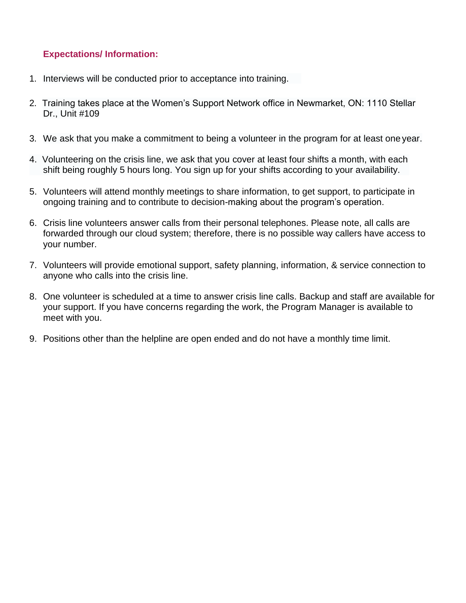## **Expectations/ Information:**

- 1. Interviews will be conducted prior to acceptance into training.
- 2. Training takes place at the Women's Support Network office in Newmarket, ON: 1110 Stellar Dr., Unit #109
- 3. We ask that you make a commitment to being a volunteer in the program for at least one year.
- 4. Volunteering on the crisis line, we ask that you cover at least four shifts a month, with each shift being roughly 5 hours long. You sign up for your shifts according to your availability.
- 5. Volunteers will attend monthly meetings to share information, to get support, to participate in ongoing training and to contribute to decision-making about the program's operation.
- 6. Crisis line volunteers answer calls from their personal telephones. Please note, all calls are forwarded through our cloud system; therefore, there is no possible way callers have access to your number.
- 7. Volunteers will provide emotional support, safety planning, information, & service connection to anyone who calls into the crisis line.
- 8. One volunteer is scheduled at a time to answer crisis line calls. Backup and staff are available for your support. If you have concerns regarding the work, the Program Manager is available to meet with you.
- 9. Positions other than the helpline are open ended and do not have a monthly time limit.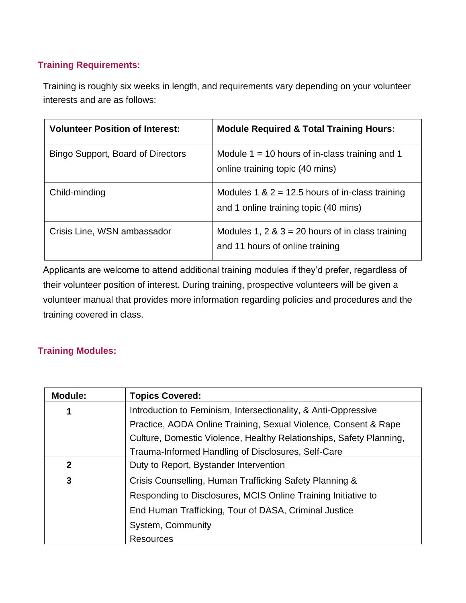# **Training Requirements:**

Training is roughly six weeks in length, and requirements vary depending on your volunteer interests and are as follows:

| <b>Volunteer Position of Interest:</b> | <b>Module Required &amp; Total Training Hours:</b>                                         |
|----------------------------------------|--------------------------------------------------------------------------------------------|
| Bingo Support, Board of Directors      | Module $1 = 10$ hours of in-class training and 1<br>online training topic (40 mins)        |
| Child-minding                          | Modules 1 & $2 = 12.5$ hours of in-class training<br>and 1 online training topic (40 mins) |
| Crisis Line, WSN ambassador            | Modules 1, 2 & $3 = 20$ hours of in class training<br>and 11 hours of online training      |

Applicants are welcome to attend additional training modules if they'd prefer, regardless of their volunteer position of interest. During training, prospective volunteers will be given a volunteer manual that provides more information regarding policies and procedures and the training covered in class.

## **Training Modules:**

| <b>Module:</b> | <b>Topics Covered:</b>                                              |
|----------------|---------------------------------------------------------------------|
| 1              | Introduction to Feminism, Intersectionality, & Anti-Oppressive      |
|                | Practice, AODA Online Training, Sexual Violence, Consent & Rape     |
|                | Culture, Domestic Violence, Healthy Relationships, Safety Planning, |
|                | Trauma-Informed Handling of Disclosures, Self-Care                  |
| $\mathbf{2}$   | Duty to Report, Bystander Intervention                              |
| 3              | Crisis Counselling, Human Trafficking Safety Planning &             |
|                | Responding to Disclosures, MCIS Online Training Initiative to       |
|                | End Human Trafficking, Tour of DASA, Criminal Justice               |
|                | System, Community                                                   |
|                | <b>Resources</b>                                                    |